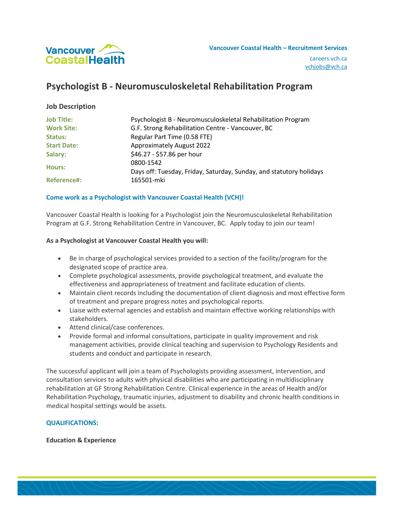

# **Psychologist B - Neuromusculoskeletal Rehabilitation Program**

## **Job Description**

| <b>Job Title:</b>  | Psychologist B - Neuromusculoskeletal Rehabilitation Program                     |
|--------------------|----------------------------------------------------------------------------------|
| <b>Work Site:</b>  | G.F. Strong Rehabilitation Centre - Vancouver, BC                                |
| Status:            | Regular Part Time (0.58 FTE)                                                     |
| <b>Start Date:</b> | <b>Approximately August 2022</b>                                                 |
| Salary:            | \$46.27 - \$57.86 per hour                                                       |
| Hours:             | 0800-1542<br>Days off: Tuesday, Friday, Saturday, Sunday, and statutory holidays |
| <b>Reference#:</b> | 165501-mki                                                                       |

## **Come work as a Psychologist with Vancouver Coastal Health (VCH)!**

Vancouver Coastal Health is looking for a Psychologist join the Neuromusculoskeletal Rehabilitation Program at G.F. Strong Rehabilitation Centre in Vancouver, BC. Apply today to join our team!

#### **As a Psychologist at Vancouver Coastal Health you will:**

- Be in charge of psychological services provided to a section of the facility/program for the designated scope of practice area.
- Complete psychological assessments, provide psychological treatment, and evaluate the effectiveness and appropriateness of treatment and facilitate education of clients.
- Maintain client records including the documentation of client diagnosis and most effective form of treatment and prepare progress notes and psychological reports.
- Liaise with external agencies and establish and maintain effective working relationships with stakeholders.
- Attend clinical/case conferences.
- Provide formal and informal consultations, participate in quality improvement and risk management activities, provide clinical teaching and supervision to Psychology Residents and students and conduct and participate in research.

The successful applicant will join a team of Psychologists providing assessment, intervention, and consultation services to adults with physical disabilities who are participating in multidisciplinary rehabilitation at GF Strong Rehabilitation Centre. Clinical experience in the areas of Health and/or Rehabilitation Psychology, traumatic injuries, adjustment to disability and chronic health conditions in medical hospital settings would be assets.

## **QUALIFICATIONS:**

#### **Education & Experience**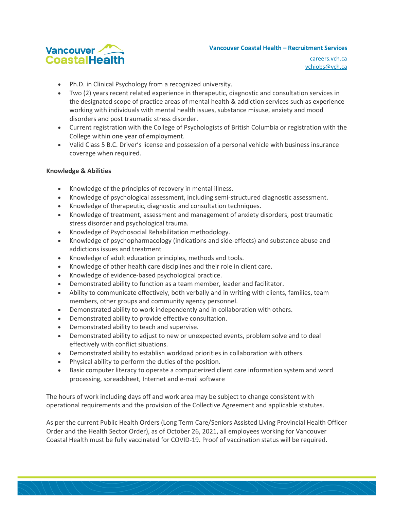

#### **Vancouver Coastal Health – Recruitment Services**

careers.vch.ca [vchjobs@vch.ca](mailto:vchjobs@vch.ca)

- Ph.D. in Clinical Psychology from a recognized university.
- Two (2) years recent related experience in therapeutic, diagnostic and consultation services in the designated scope of practice areas of mental health & addiction services such as experience working with individuals with mental health issues, substance misuse, anxiety and mood disorders and post traumatic stress disorder.
- Current registration with the College of Psychologists of British Columbia or registration with the College within one year of employment.
- Valid Class 5 B.C. Driver's license and possession of a personal vehicle with business insurance coverage when required.

## **Knowledge & Abilities**

- Knowledge of the principles of recovery in mental illness.
- Knowledge of psychological assessment, including semi-structured diagnostic assessment.
- Knowledge of therapeutic, diagnostic and consultation techniques.
- Knowledge of treatment, assessment and management of anxiety disorders, post traumatic stress disorder and psychological trauma.
- Knowledge of Psychosocial Rehabilitation methodology.
- Knowledge of psychopharmacology (indications and side-effects) and substance abuse and addictions issues and treatment
- Knowledge of adult education principles, methods and tools.
- Knowledge of other health care disciplines and their role in client care.
- Knowledge of evidence-based psychological practice.
- Demonstrated ability to function as a team member, leader and facilitator.
- Ability to communicate effectively, both verbally and in writing with clients, families, team members, other groups and community agency personnel.
- Demonstrated ability to work independently and in collaboration with others.
- Demonstrated ability to provide effective consultation.
- Demonstrated ability to teach and supervise.
- Demonstrated ability to adjust to new or unexpected events, problem solve and to deal effectively with conflict situations.
- Demonstrated ability to establish workload priorities in collaboration with others.
- Physical ability to perform the duties of the position.
- Basic computer literacy to operate a computerized client care information system and word processing, spreadsheet, Internet and e-mail software

The hours of work including days off and work area may be subject to change consistent with operational requirements and the provision of the Collective Agreement and applicable statutes.

As per the current Public Health Orders (Long Term Care/Seniors Assisted Living Provincial Health Officer Order and the Health Sector Order), as of October 26, 2021, all employees working for Vancouver Coastal Health must be fully vaccinated for COVID-19. Proof of vaccination status will be required.